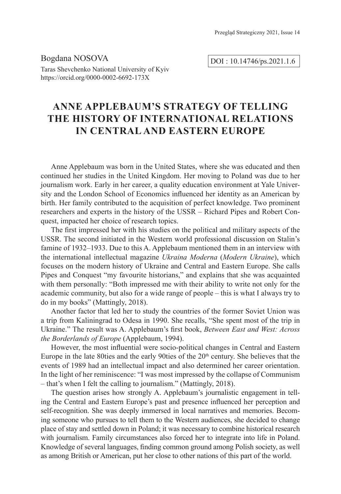Bogdana NOSOVA Taras Shevchenko National University of Kyiv https://orcid.org/0000-0002-6692-173X

DOI : 10.14746/ps.2021.1.6

# **ANNE APPLEBAUM'S STRATEGY OF TELLING THE HISTORY OF INTERNATIONAL RELATIONS IN CENTRAL AND EASTERN EUROPE**

Anne Applebaum was born in the United States, where she was educated and then continued her studies in the United Kingdom. Her moving to Poland was due to her journalism work. Early in her career, a quality education environment at Yale University and the London School of Economics influenced her identity as an American by birth. Her family contributed to the acquisition of perfect knowledge. Two prominent researchers and experts in the history of the USSR – Richard Pipes and Robert Conquest, impacted her choice of research topics.

The first impressed her with his studies on the political and military aspects of the USSR. The second initiated in the Western world professional discussion on Stalin's famine of 1932–1933. Due to this A. Applebaum mentioned them in an interview with the international intellectual magazine *Ukraina Moderna* (*Modern Ukraine*), which focuses on the modern history of Ukraine and Central and Eastern Europe. She calls Pipes and Conquest "my favourite historians," and explains that she was acquainted with them personally: "Both impressed me with their ability to write not only for the academic community, but also for a wide range of people – this is what I always try to do in my books" (Mattingly, 2018).

Another factor that led her to study the countries of the former Soviet Union was a trip from Kaliningrad to Odesa in 1990. She recalls, "She spent most of the trip in Ukraine." The result was A. Applebaum's first book, *Between East and West: Across the Borderlands of Europe* (Applebaum, 1994).

However, the most influential were socio-political changes in Central and Eastern Europe in the late 80ties and the early 90ties of the  $20<sup>th</sup>$  century. She believes that the events of 1989 had an intellectual impact and also determined her career orientation. In the light of her reminiscence: "I was most impressed by the collapse of Communism – that's when I felt the calling to journalism." (Mattingly, 2018).

The question arises how strongly A. Applebaum's journalistic engagement in telling the Central and Eastern Europe's past and presence influenced her perception and self-recognition. She was deeply immersed in local narratives and memories. Becoming someone who pursues to tell them to the Western audiences, she decided to change place of stay and settled down in Poland; it was necessary to combine historical research with journalism. Family circumstances also forced her to integrate into life in Poland. Knowledge of several languages, finding common ground among Polish society, as well as among British or American, put her close to other nations of this part of the world.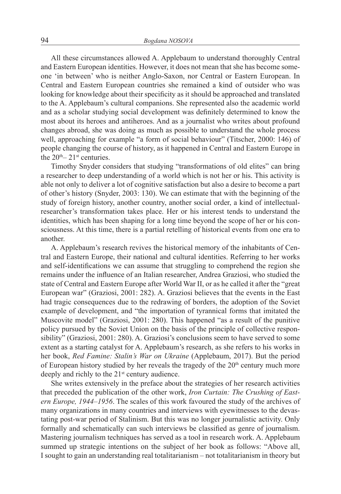All these circumstances allowed A. Applebaum to understand thoroughly Central and Eastern European identities. However, it does not mean that she has become someone 'in between' who is neither Anglo-Saxon, nor Central or Eastern European. In Central and Eastern European countries she remained a kind of outsider who was looking for knowledge about their specificity as it should be approached and translated to the A. Applebaum's cultural companions. She represented also the academic world and as a scholar studying social development was definitely determined to know the most about its heroes and antiheroes. And as a journalist who writes about profound changes abroad, she was doing as much as possible to understand the whole process well, approaching for example "a form of social behaviour" (Titscher, 2000: 146) of people changing the course of history, as it happened in Central and Eastern Europe in the  $20<sup>th</sup> - 21<sup>st</sup>$  centuries.

Timothy Snyder considers that studying "transformations of old elites" can bring a researcher to deep understanding of a world which is not her or his. This activity is able not only to deliver a lot of cognitive satisfaction but also a desire to become a part of other's history (Snyder, 2003: 130). We can estimate that with the beginning of the study of foreign history, another country, another social order, a kind of intellectualresearcher's transformation takes place. Her or his interest tends to understand the identities, which has been shaping for a long time beyond the scope of her or his consciousness. At this time, there is a partial retelling of historical events from one era to another.

A. Applebaum's research revives the historical memory of the inhabitants of Central and Eastern Europe, their national and cultural identities. Referring to her works and self-identifications we can assume that struggling to comprehend the region she remains under the influence of an Italian researcher, Andrea Graziosi, who studied the state of Central and Eastern Europe after World War II, or as he called it after the "great European war" (Graziosi, 2001: 282). A. Graziosi believes that the events in the East had tragic consequences due to the redrawing of borders, the adoption of the Soviet example of development, and "the importation of tyrannical forms that imitated the Muscovite model" (Graziosi, 2001: 280). This happened "as a result of the punitive policy pursued by the Soviet Union on the basis of the principle of collective responsibility" (Graziosi, 2001: 280). A. Graziosi's conclusions seem to have served to some extent as a starting catalyst for A. Applebaum's research, as she refers to his works in her book, *Red Famine: Stalin's War on Ukraine* (Applebaum, 2017). But the period of European history studied by her reveals the tragedy of the  $20<sup>th</sup>$  century much more deeply and richly to the  $21<sup>st</sup>$  century audience.

She writes extensively in the preface about the strategies of her research activities that preceded the publication of the other work, *Iron Curtain: The Crushing of Eastern Europe, 1944–1956*. The scales of this work favoured the study of the archives of many organizations in many countries and interviews with eyewitnesses to the devastating post-war period of Stalinism. But this was no longer journalistic activity. Only formally and schematically can such interviews be classified as genre of journalism. Mastering journalism techniques has served as a tool in research work. A. Applebaum summed up strategic intentions on the subject of her book as follows: "Above all, I sought to gain an understanding real totalitarianism – not totalitarianism in theory but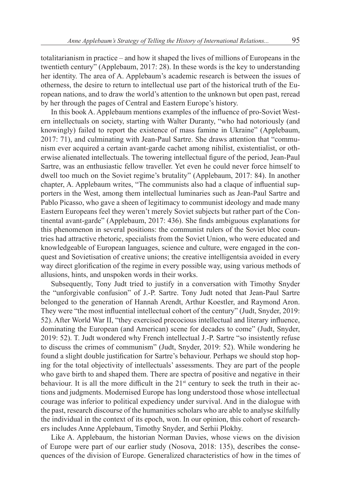totalitarianism in practice – and how it shaped the lives of millions of Europeans in the twentieth century" (Applebaum, 2017: 28). In these words is the key to understanding her identity. The area of A. Applebaum's academic research is between the issues of otherness, the desire to return to intellectual use part of the historical truth of the European nations, and to draw the world's attention to the unknown but open past, reread by her through the pages of Central and Eastern Europe's history.

In this book A. Applebaum mentions examples of the influence of pro-Soviet Western intellectuals on society, starting with Walter Duranty, "who had notoriously (and knowingly) failed to report the existence of mass famine in Ukraine" (Applebaum, 2017: 71), and culminating with Jean-Paul Sartre. She draws attention that "communism ever acquired a certain avant-garde cachet among nihilist, existentialist, or otherwise alienated intellectuals. The towering intellectual figure of the period, Jean-Paul Sartre, was an enthusiastic fellow traveller. Yet even he could never force himself to dwell too much on the Soviet regime's brutality" (Applebaum, 2017: 84). In another chapter, A. Applebaum writes, "The communists also had a claque of influential supporters in the West, among them intellectual luminaries such as Jean-Paul Sartre and Pablo Picasso, who gave a sheen of legitimacy to communist ideology and made many Eastern Europeans feel they weren't merely Soviet subjects but rather part of the Continental avant-garde" (Applebaum, 2017: 436). She finds ambiguous explanations for this phenomenon in several positions: the communist rulers of the Soviet bloc countries had attractive rhetoric, specialists from the Soviet Union, who were educated and knowledgeable of European languages, science and culture, were engaged in the conquest and Sovietisation of creative unions; the creative intelligentsia avoided in every way direct glorification of the regime in every possible way, using various methods of allusions, hints, and unspoken words in their works.

Subsequently, Tony Judt tried to justify in a conversation with Timothy Snyder the "unforgivable confusion" of J.-P. Sartre. Tony Judt noted that Jean-Paul Sartre belonged to the generation of Hannah Arendt, Arthur Koestler, and Raymond Aron. They were "the most influential intellectual cohort of the century" (Judt, Snyder, 2019: 52). After World War II, "they exercised precocious intellectual and literary influence, dominating the European (and American) scene for decades to come" (Judt, Snyder, 2019: 52). T. Judt wondered why French intellectual J.-P. Sartre "so insistently refuse to discuss the crimes of communism" (Judt, Snyder, 2019: 52). While wondering he found a slight double justification for Sartre's behaviour. Perhaps we should stop hoping for the total objectivity of intellectuals' assessments. They are part of the people who gave birth to and shaped them. There are spectra of positive and negative in their behaviour. It is all the more difficult in the  $21<sup>st</sup>$  century to seek the truth in their actions and judgments. Modernised Europe has long understood those whose intellectual courage was inferior to political expediency under survival. And in the dialogue with the past, research discourse of the humanities scholars who are able to analyse skilfully the individual in the context of its epoch, won. In our opinion, this cohort of researchers includes Anne Applebaum, Timothy Snyder, and Serhii Plokhy.

Like A. Applebaum, the historian Norman Davies, whose views on the division of Europe were part of our earlier study (Nosova, 2018: 135), describes the consequences of the division of Europe. Generalized characteristics of how in the times of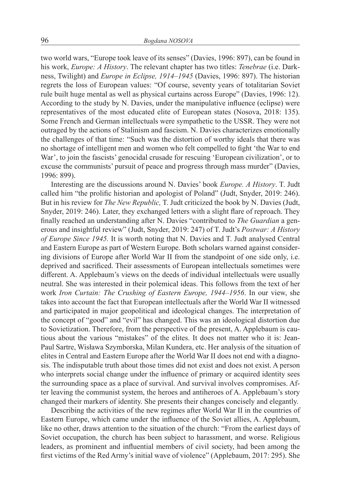two world wars, "Europe took leave of its senses" (Davies, 1996: 897), can be found in his work, *Europe: A History*. The relevant chapter has two titles: *Tenebrae* (i.e. Darkness, Twilight) and *Europe in Eclipse, 1914–1945* (Davies, 1996: 897). The historian regrets the loss of European values: "Of course, seventy years of totalitarian Soviet rule built huge mental as well as physical curtains across Europe" (Davies, 1996: 12). According to the study by N. Davies, under the manipulative influence (eclipse) were representatives of the most educated elite of European states (Nosova, 2018: 135). Some French and German intellectuals were sympathetic to the USSR. They were not outraged by the actions of Stalinism and fascism. N. Davies characterizes emotionally the challenges of that time: "Such was the distortion of worthy ideals that there was no shortage of intelligent men and women who felt compelled to fight 'the War to end War', to join the fascists' genocidal crusade for rescuing 'European civilization', or to excuse the communists' pursuit of peace and progress through mass murder" (Davies, 1996: 899).

Interesting are the discussions around N. Davies' book *Europe. A History*. T. Judt called him "the prolific historian and apologist of Poland" (Judt, Snyder, 2019: 246). But in his review for *The New Republic,* T. Judt criticized the book by N. Davies (Judt, Snyder, 2019: 246). Later, they exchanged letters with a slight flare of reproach. They finally reached an understanding after N. Davies "contributed to *The Guardian* a generous and insightful review" (Judt, Snyder, 2019: 247) of T. Judt's *Postwar: A History of Europe Since 1945.* It is worth noting that N. Davies and T. Judt analysed Central and Eastern Europe as part of Western Europe. Both scholars warned against considering divisions of Europe after World War II from the standpoint of one side only, i.e. deprived and sacrificed. Their assessments of European intellectuals sometimes were different. A. Applebaum's views on the deeds of individual intellectuals were usually neutral. She was interested in their polemical ideas. This follows from the text of her work *Iron Curtain: The Crushing of Eastern Europe, 1944–1956*. In our view, she takes into account the fact that European intellectuals after the World War II witnessed and participated in major geopolitical and ideological changes. The interpretation of the concept of "good" and "evil" has changed. This was an ideological distortion due to Sovietization. Therefore, from the perspective of the present, A. Applebaum is cautious about the various "mistakes" of the elites. It does not matter who it is: Jean-Paul Sartre, Wisława Szymborska, Milan Kundera, etc. Her analysis of the situation of elites in Central and Eastern Europe after the World War II does not end with a diagnosis. The indisputable truth about those times did not exist and does not exist. A person who interprets social change under the influence of primary or acquired identity sees the surrounding space as a place of survival. And survival involves compromises. After leaving the communist system, the heroes and antiheroes of A. Applebaum's story changed their markers of identity. She presents their changes concisely and elegantly.

Describing the activities of the new regimes after World War II in the countries of Eastern Europe, which came under the influence of the Soviet allies, A. Applebaum, like no other, draws attention to the situation of the church: "From the earliest days of Soviet occupation, the church has been subject to harassment, and worse. Religious leaders, as prominent and influential members of civil society, had been among the first victims of the Red Army's initial wave of violence" (Applebaum, 2017: 295). She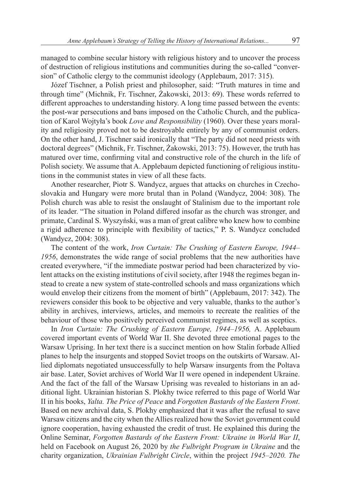managed to combine secular history with religious history and to uncover the process of destruction of religious institutions and communities during the so-called "conversion" of Catholic clergy to the communist ideology (Applebaum, 2017: 315).

Józef Tischner, a Polish priest and philosopher, said: "Truth matures in time and through time" (Michnik, Fr. Tischner, Żakowski, 2013: 69). These words referred to different approaches to understanding history. A long time passed between the events: the post-war persecutions and bans imposed on the Catholic Church, and the publication of Karol Wojtyła's book *Love and Responsibility* (1960). Over these years morality and religiosity proved not to be destroyable entirely by any of communist orders. On the other hand, J. Tischner said ironically that "The party did not need priests with doctoral degrees" (Michnik, Fr. Tischner, Żakowski, 2013: 75). However, the truth has matured over time, confirming vital and constructive role of the church in the life of Polish society. We assume that A. Applebaum depicted functioning of religious institutions in the communist states in view of all these facts.

Another researcher, Piotr S. Wandycz, argues that attacks on churches in Czechoslovakia and Hungary were more brutal than in Poland (Wandycz, 2004: 308). The Polish church was able to resist the onslaught of Stalinism due to the important role of its leader. "The situation in Poland differed insofar as the church was stronger, and primate, Cardinal S. Wyszyński, was a man of great calibre who knew how to combine a rigid adherence to principle with flexibility of tactics," P. S. Wandycz concluded (Wandycz, 2004: 308).

The content of the work, *Iron Curtain: The Crushing of Eastern Europe, 1944– 1956*, demonstrates the wide range of social problems that the new authorities have created everywhere, "if the immediate postwar period had been characterized by violent attacks on the existing institutions of civil society, after 1948 the regimes began instead to create a new system of state-controlled schools and mass organizations which would envelop their citizens from the moment of birth" (Applebaum, 2017: 342). The reviewers consider this book to be objective and very valuable, thanks to the author's ability in archives, interviews, articles, and memoirs to recreate the realities of the behaviour of those who positively perceived communist regimes, as well as sceptics.

In *Iron Curtain: The Crushing of Eastern Europe, 1944–1956,* A. Applebaum covered important events of World War II. She devoted three emotional pages to the Warsaw Uprising. In her text there is a succinct mention on how Stalin forbade Allied planes to help the insurgents and stopped Soviet troops on the outskirts of Warsaw. Allied diplomats negotiated unsuccessfully to help Warsaw insurgents from the Poltava air base. Later, Soviet archives of World War II were opened in independent Ukraine. And the fact of the fall of the Warsaw Uprising was revealed to historians in an additional light. Ukrainian historian S. Plokhy twice referred to this page of World War II in his books, *Yalta. The Price of Peace* and *Forgotten Bastards of the Eastern Front*. Based on new archival data, S. Plokhy emphasized that it was after the refusal to save Warsaw citizens and the city when the Allies realized how the Soviet government could ignore cooperation, having exhausted the credit of trust. He explained this during the Online Seminar, *Forgotten Bastards of the Eastern Front: Ukraine in World War II*, held on Facebook on August 26, 2020 by *the Fulbright Program in Ukraine* and the charity organization, *Ukrainian Fulbright Circle*, within the project *1945–2020. The*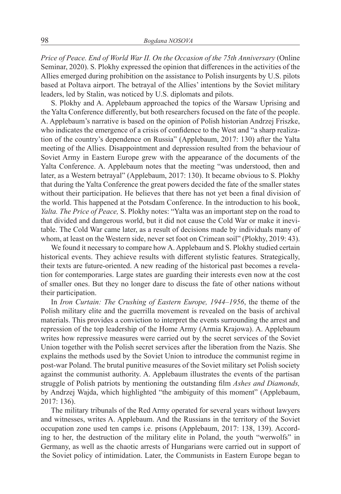*Price of Peace. End of World War II. On the Occasion of the 75th Anniversary* (Online Seminar, 2020). S. Plokhy expressed the opinion that differences in the activities of the Allies emerged during prohibition on the assistance to Polish insurgents by U.S. pilots based at Poltava airport. The betrayal of the Allies' intentions by the Soviet military leaders, led by Stalin, was noticed by U.S. diplomats and pilots.

S. Plokhy and A. Applebaum approached the topics of the Warsaw Uprising and the Yalta Conference differently, but both researchers focused on the fate of the people. A. Applebaum's narrative is based on the opinion of Polish historian Andrzej Friszke, who indicates the emergence of a crisis of confidence to the West and "a sharp realization of the country's dependence on Russia" (Applebaum, 2017: 130) after the Yalta meeting of the Allies. Disappointment and depression resulted from the behaviour of Soviet Army in Eastern Europe grew with the appearance of the documents of the Yalta Conference. A. Applebaum notes that the meeting "was understood, then and later, as a Western betrayal" (Applebaum, 2017: 130). It became obvious to S. Plokhy that during the Yalta Conference the great powers decided the fate of the smaller states without their participation. He believes that there has not yet been a final division of the world. This happened at the Potsdam Conference. In the introduction to his book, *Yalta. The Price of Peace,* S. Plokhy notes: "Yalta was an important step on the road to that divided and dangerous world, but it did not cause the Cold War or make it inevitable. The Cold War came later, as a result of decisions made by individuals many of whom, at least on the Western side, never set foot on Crimean soil" (Plokhy, 2019: 43).

We found it necessary to compare how A. Applebaum and S. Plokhy studied certain historical events. They achieve results with different stylistic features. Strategically, their texts are future-oriented. A new reading of the historical past becomes a revelation for contemporaries. Large states are guarding their interests even now at the cost of smaller ones. But they no longer dare to discuss the fate of other nations without their participation.

In *Iron Curtain: The Crushing of Eastern Europe, 1944–1956*, the theme of the Polish military elite and the guerrilla movement is revealed on the basis of archival materials. This provides a conviction to interpret the events surrounding the arrest and repression of the top leadership of the Home Army (Armia Krajowa). A. Applebaum writes how repressive measures were carried out by the secret services of the Soviet Union together with the Polish secret services after the liberation from the Nazis. She explains the methods used by the Soviet Union to introduce the communist regime in post-war Poland. The brutal punitive measures of the Soviet military set Polish society against the communist authority. A. Applebaum illustrates the events of the partisan struggle of Polish patriots by mentioning the outstanding film *Ashes and Diamonds,* by Andrzej Wajda, which highlighted "the ambiguity of this moment" (Applebaum, 2017: 136).

The military tribunals of the Red Army operated for several years without lawyers and witnesses, writes A. Applebaum. And the Russians in the territory of the Soviet occupation zone used ten camps i.e. prisons (Applebaum, 2017: 138, 139). According to her, the destruction of the military elite in Poland, the youth "werwolfs" in Germany, as well as the chaotic arrests of Hungarians were carried out in support of the Soviet policy of intimidation. Later, the Communists in Eastern Europe began to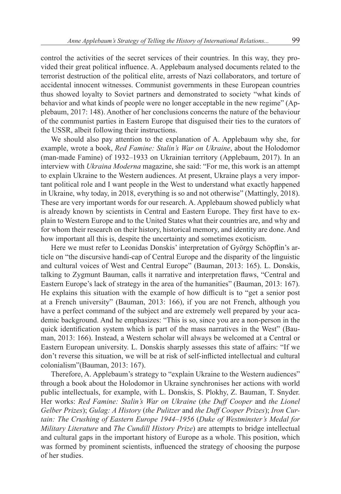control the activities of the secret services of their countries. In this way, they provided their great political influence. A. Applebaum analysed documents related to the terrorist destruction of the political elite, arrests of Nazi collaborators, and torture of accidental innocent witnesses. Communist governments in these European countries thus showed loyalty to Soviet partners and demonstrated to society "what kinds of behavior and what kinds of people were no longer acceptable in the new regime" (Applebaum, 2017: 148). Another of her conclusions concerns the nature of the behaviour of the communist parties in Eastern Europe that disguised their ties to the curators of the USSR, albeit following their instructions.

We should also pay attention to the explanation of A. Applebaum why she, for example, wrote a book, *Red Famine: Stalin's War on Ukraine*, about the Holodomor (man-made Famine) of 1932–1933 on Ukrainian territory (Applebaum, 2017). In an interview with *Ukraina Moderna* magazine, she said: "For me, this work is an attempt to explain Ukraine to the Western audiences. At present, Ukraine plays a very important political role and I want people in the West to understand what exactly happened in Ukraine, why today, in 2018, everything is so and not otherwise" (Mattingly, 2018). These are very important words for our research. A. Applebaum showed publicly what is already known by scientists in Central and Eastern Europe. They first have to explain to Western Europe and to the United States what their countries are, and why and for whom their research on their history, historical memory, and identity are done. And how important all this is, despite the uncertainty and sometimes exoticism.

Here we must refer to Leonidas Donskis' interpretation of György Schöpflin's article on "the discursive handi-cap of Central Europe and the disparity of the linguistic and cultural voices of West and Central Europe" (Bauman, 2013: 165). L. Donskis, talking to Zygmunt Bauman, calls it narrative and interpretation flaws, "Central and Eastern Europe's lack of strategy in the area of the humanities" (Bauman, 2013: 167). He explains this situation with the example of how difficult is to "get a senior post at a French university" (Bauman, 2013: 166), if you are not French, although you have a perfect command of the subject and are extremely well prepared by your academic background. And he emphasizes: "This is so, since you are a non-person in the quick identification system which is part of the mass narratives in the West" (Bauman, 2013: 166). Instead, a Western scholar will always be welcomed at a Central or Eastern European university. L. Donskis sharply assesses this state of affairs: "If we don't reverse this situation, we will be at risk of self-inflicted intellectual and cultural colonialism"(Bauman, 2013: 167).

Therefore, A. Applebaum's strategy to "explain Ukraine to the Western audiences" through a book about the Holodomor in Ukraine synchronises her actions with world public intellectuals, for example, with L. Donskis, S. Plokhy, Z. Bauman, T. Snyder. Her works: *Red Famine: Stalin's War on Ukraine* (*the Duff Cooper* and *the Lionel Gelber Prizes*); *Gulag: A History* (*the Pulitzer* and *the Duff Cooper Prizes*); *Iron Curtain: The Crushing of Eastern Europe 1944–1956* (*Duke of Westminster's Medal for Military Literature* and *The Cundill History Prize*) are attempts to bridge intellectual and cultural gaps in the important history of Europe as a whole. This position, which was formed by prominent scientists, influenced the strategy of choosing the purpose of her studies.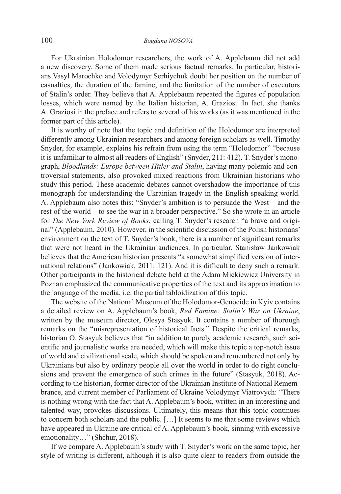For Ukrainian Holodomor researchers, the work of A. Applebaum did not add a new discovery. Some of them made serious factual remarks. In particular, historians Vasyl Marochko and Volodymyr Serhiychuk doubt her position on the number of casualties, the duration of the famine, and the limitation of the number of executors of Stalin's order. They believe that A. Applebaum repeated the figures of population losses, which were named by the Italian historian, A. Graziosi. In fact, she thanks A. Graziosi in the preface and refers to several of his works (as it was mentioned in the former part of this article).

It is worthy of note that the topic and definition of the Holodomor are interpreted differently among Ukrainian researchers and among foreign scholars as well. Timothy Snyder, for example, explains his refrain from using the term "Holodomor" "because it is unfamiliar to almost all readers of English" (Snyder, 211: 412). T. Snyder's monograph, *Bloodlands: Europe between Hitler and Stalin*, having many polemic and controversial statements, also provoked mixed reactions from Ukrainian historians who study this period. These academic debates cannot overshadow the importance of this monograph for understanding the Ukrainian tragedy in the English-speaking world. A. Applebaum also notes this: "Snyder's ambition is to persuade the West – and the rest of the world – to see the war in a broader perspective." So she wrote in an article for *The New York Review of Books*, calling T. Snyder's research "a brave and original" (Applebaum, 2010). However, in the scientific discussion of the Polish historians' environment on the text of T. Snyder's book, there is a number of significant remarks that were not heard in the Ukrainian audiences. In particular, Stanisław Jankowiak believes that the American historian presents "a somewhat simplified version of international relations" (Jankowiak, 2011: 121). And it is difficult to deny such a remark. Other participants in the historical debate held at the Adam Mickiewicz University in Poznan emphasized the communicative properties of the text and its approximation to the language of the media, i.e. the partial tabloidization of this topic.

The website of the National Museum of the Holodomor-Genocide in Kyiv contains a detailed review on A. Applebaum's book, *Red Famine: Stalin's War on Ukraine*, written by the museum director, Olesya Stasyuk. It contains a number of thorough remarks on the "misrepresentation of historical facts." Despite the critical remarks, historian O. Stasyuk believes that "in addition to purely academic research, such scientific and journalistic works are needed, which will make this topic a top-notch issue of world and civilizational scale, which should be spoken and remembered not only by Ukrainians but also by ordinary people all over the world in order to do right conclusions and prevent the emergence of such crimes in the future" (Stasyuk, 2018). According to the historian, former director of the Ukrainian Institute of National Remembrance, and current member of Parliament of Ukraine Volodymyr Viatrovych: "There is nothing wrong with the fact that A. Applebaum's book, written in an interesting and talented way, provokes discussions. Ultimately, this means that this topic continues to concern both scholars and the public. […] It seems to me that some reviews which have appeared in Ukraine are critical of A. Applebaum's book, sinning with excessive emotionality…" (Shchur, 2018).

If we compare A. Applebaum's study with T. Snyder's work on the same topic, her style of writing is different, although it is also quite clear to readers from outside the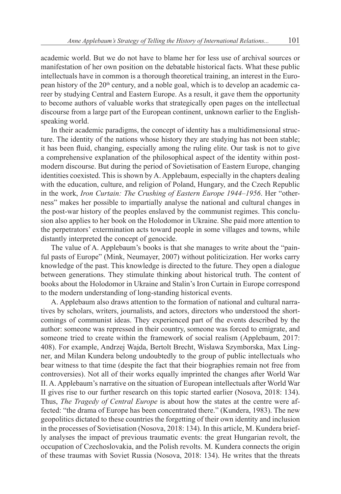academic world. But we do not have to blame her for less use of archival sources or manifestation of her own position on the debatable historical facts. What these public intellectuals have in common is a thorough theoretical training, an interest in the European history of the 20<sup>th</sup> century, and a noble goal, which is to develop an academic career by studying Central and Eastern Europe. As a result, it gave them the opportunity to become authors of valuable works that strategically open pages on the intellectual discourse from a large part of the European continent, unknown earlier to the Englishspeaking world.

In their academic paradigms, the concept of identity has a multidimensional structure. The identity of the nations whose history they are studying has not been stable; it has been fluid, changing, especially among the ruling elite. Our task is not to give a comprehensive explanation of the philosophical aspect of the identity within postmodern discourse. But during the period of Sovietisation of Eastern Europe, changing identities coexisted. This is shown by A. Applebaum, especially in the chapters dealing with the education, culture, and religion of Poland, Hungary, and the Czech Republic in the work, *Iron Curtain: The Crushing of Eastern Europe 1944–1956*. Her "otherness" makes her possible to impartially analyse the national and cultural changes in the post-war history of the peoples enslaved by the communist regimes. This conclusion also applies to her book on the Holodomor in Ukraine. She paid more attention to the perpetrators' extermination acts toward people in some villages and towns, while distantly interpreted the concept of genocide.

The value of A. Applebaum's books is that she manages to write about the "painful pasts of Europe" (Mink, Neumayer, 2007) without politicization. Her works carry knowledge of the past. This knowledge is directed to the future. They open a dialogue between generations. They stimulate thinking about historical truth. The content of books about the Holodomor in Ukraine and Stalin's Iron Curtain in Europe correspond to the modern understanding of long-standing historical events.

A. Applebaum also draws attention to the formation of national and cultural narratives by scholars, writers, journalists, and actors, directors who understood the shortcomings of communist ideas. They experienced part of the events described by the author: someone was repressed in their country, someone was forced to emigrate, and someone tried to create within the framework of social realism (Applebaum, 2017: 408). For example, Andrzej Wajda, Bertolt Brecht, Wisława Szymborska, Max Lingner, and Milan Kundera belong undoubtedly to the group of public intellectuals who bear witness to that time (despite the fact that their biographies remain not free from controversies). Not all of their works equally imprinted the changes after World War II. A. Applebaum's narrative on the situation of European intellectuals after World War II gives rise to our further research on this topic started earlier (Nosova, 2018: 134). Thus, *The Tragedy of Central Europe* is about how the states at the centre were affected: "the drama of Europe has been concentrated there." (Kundera, 1983). The new geopolitics dictated to these countries the forgetting of their own identity and inclusion in the processes of Sovietisation (Nosova, 2018: 134). In this article, M. Kundera briefly analyses the impact of previous traumatic events: the great Hungarian revolt, the occupation of Czechoslovakia, and the Polish revolts. M. Kundera connects the origin of these traumas with Soviet Russia (Nosova, 2018: 134). He writes that the threats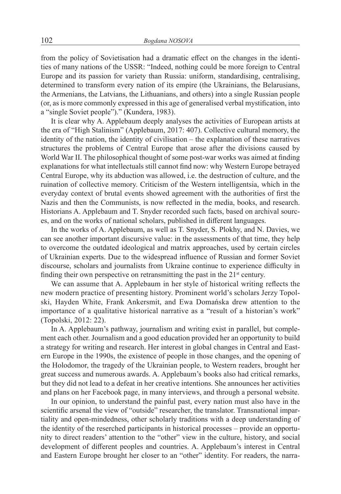from the policy of Sovietisation had a dramatic effect on the changes in the identities of many nations of the USSR: "Indeed, nothing could be more foreign to Central Europe and its passion for variety than Russia: uniform, standardising, centralising, determined to transform every nation of its empire (the Ukrainians, the Belarusians, the Armenians, the Latvians, the Lithuanians, and others) into a single Russian people (or, as is more commonly expressed in this age of generalised verbal mystification, into a "single Soviet people")." (Kundera, 1983).

It is clear why A. Applebaum deeply analyses the activities of European artists at the era of "High Stalinism" (Applebaum, 2017: 407). Collective cultural memory, the identity of the nation, the identity of civilisation – the explanation of these narratives structures the problems of Central Europe that arose after the divisions caused by World War II. The philosophical thought of some post-war works was aimed at finding explanations for what intellectuals still cannot find now: why Western Europe betrayed Central Europe, why its abduction was allowed, i.e. the destruction of culture, and the ruination of collective memory. Criticism of the Western intelligentsia, which in the everyday context of brutal events showed agreement with the authorities of first the Nazis and then the Communists, is now reflected in the media, books, and research. Historians A. Applebaum and T. Snyder recorded such facts, based on archival sources, and on the works of national scholars, published in different languages.

In the works of A. Applebaum, as well as T. Snyder, S. Plokhy, and N. Davies, we can see another important discursive value: in the assessments of that time, they help to overcome the outdated ideological and matrix approaches, used by certain circles of Ukrainian experts. Due to the widespread influence of Russian and former Soviet discourse, scholars and journalists from Ukraine continue to experience difficulty in finding their own perspective on retransmitting the past in the  $21<sup>st</sup>$  century.

We can assume that A. Applebaum in her style of historical writing reflects the new modern practice of presenting history. Prominent world's scholars Jerzy Topolski, Hayden White, Frank Ankersmit, and Ewa Domańska drew attention to the importance of a qualitative historical narrative as a "result of a historian's work" (Topolski, 2012: 22).

In A. Applebaum's pathway, journalism and writing exist in parallel, but complement each other. Journalism and a good education provided her an opportunity to build a strategy for writing and research. Her interest in global changes in Central and Eastern Europe in the 1990s, the existence of people in those changes, and the opening of the Holodomor, the tragedy of the Ukrainian people, to Western readers, brought her great success and numerous awards. A. Applebaum's books also had critical remarks, but they did not lead to a defeat in her creative intentions. She announces her activities and plans on her Facebook page, in many interviews, and through a personal website.

In our opinion, to understand the painful past, every nation must also have in the scientific arsenal the view of "outside" researcher, the translator. Transnational impartiality and open-mindedness, other scholarly traditions with a deep understanding of the identity of the reserched participants in historical processes – provide an opportunity to direct readers' attention to the "other" view in the culture, history, and social development of different peoples and countries. A. Applebaum's interest in Central and Eastern Europe brought her closer to an "other" identity. For readers, the narra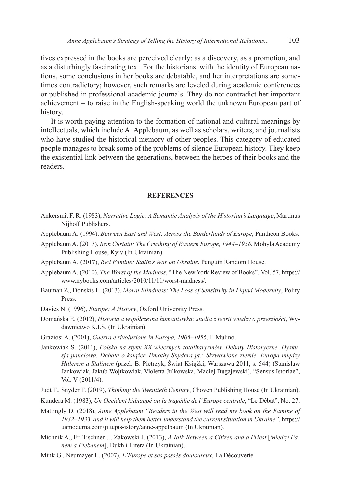tives expressed in the books are perceived clearly: as a discovery, as a promotion, and as a disturbingly fascinating text. For the historians, with the identity of European nations, some conclusions in her books are debatable, and her interpretations are sometimes contradictory; however, such remarks are leveled during academic conferences or published in professional academic journals. They do not contradict her important achievement – to raise in the English-speaking world the unknown European part of history.

It is worth paying attention to the formation of national and cultural meanings by intellectuals, which include A. Applebaum, as well as scholars, writers, and journalists who have studied the historical memory of other peoples. This category of educated people manages to break some of the problems of silence European history. They keep the existential link between the generations, between the heroes of their books and the readers.

### **REFERENCES**

- Ankersmit F. R. (1983), *Narrative Logic: A Semantic Analysis of the Historian's Language*, Martinus Nijhoff Publishers.
- Applebaum A. (1994), *Between East and West: Across the Borderlands of Europe*, Pantheon Books.
- Applebaum A. (2017), *Iron Curtain: The Crushing of Eastern Europe, 1944–1956*, Mohyla Academy Publishing House, Kyiv (In Ukrainian).
- Applebaum A. (2017), *Red Famine: Stalin's War on Ukraine*, Penguin Random House.
- Applebaum A. (2010), *The Worst of the Madness*, "The New York Review of Books", Vol. 57, https:// www.nybooks.com/articles/2010/11/11/worst-madness/.
- Bauman Z., Donskis L. (2013), *Moral Blindness: The Loss of Sensitivity in Liquid Modernity*, Polity Press.
- Davies N. (1996), *Europe: A History*, Oxford University Press.
- Domańska E. (2012), *Historia a współczesna humanistyka: studia z teorii wiedzy o przeszłości*, Wydawnictwo K.I.S. (In Ukrainian).
- Graziosi A. (2001), *Guerra e rivoluzione in Europa, 1905–1956*, Il Mulino.
- Jankowiak S. (2011), *Polska na styku XX-wiecznych totalitaryzmów. Debaty Historyczne. Dyskusja panelowa. Debata o książce Timothy Snydera pt.: Skrwawione ziemie. Europa między Hitlerem a Stalinem* (przeł. B. Pietrzyk, Świat Książki, Warszawa 2011, s. 544) (Stanisław Jankowiak, Jakub Wojtkowiak, Violetta Julkowska, Maciej Bugajewski), "Sensus Istoriae", Vol. V (2011/4).
- Judt T., Snyder T. (2019), *Thinking the Twentieth Century*, Choven Publishing House (In Ukrainian).
- Kundera M. (1983), *Un Occident kidnappé ou la tragédie de l*'*Europe centrale*, "Le Débat", No. 27.
- Mattingly D. (2018), *Anne Applebaum "Readers in the West will read my book on the Famine of 1932–1933, and it will help them better understand the current situation in Ukraine"*, https:// uamoderna.com/jittepis-istory/anne-appelbaum (In Ukrainian).
- Michnik A., Fr. Tischner J., Żakowski J. (2013), *A Talk Between a Citizen and a Priest* [*Miedzy Panem a Plebanem*], Dukh i Litera (In Ukrainian).
- Mink G., Neumayer L. (2007), *L'Europe et ses passés douloureux*, La Découverte.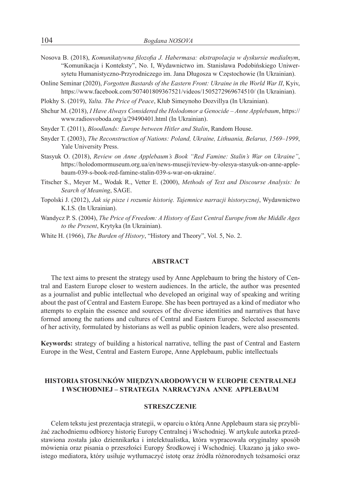- Nosova B. (2018), *Komunikatywna filozofia J. Habermasa: ekstrapolacja w dyskursie medialnym*, "Komunikacja i Konteksty", No. І, Wydawnictwo im. Stanisława Podobińskiego Uniwersytetu Humanistyczno-Przyrodniczego im. Jana Długosza w Częstochowie (In Ukrainian).
- Online Seminar (2020), *Forgotten Bastards of the Eastern Front: Ukraine in the World War II*, Kyiv, https://www.facebook.com/507401809367521/videos/1505272969674510/ (In Ukrainian).
- Plokhy S. (2019), *Yalta. The Price of Peace*, Klub Simeynoho Dozvillya (In Ukrainian).
- Shchur M. (2018), *I Have Always Considered the Holodomor a Genocide Anne Applebaum*, https:// www.radiosvoboda.org/a/29490401.html (In Ukrainian).
- Snyder T. (2011), *Bloodlands: Europe between Hitler and Stalin*, Random House.
- Snyder T. (2003), *The Reconstruction of Nations: Poland, Ukraine, Lithuania, Belarus, 1569–1999*, Yale University Press.
- Stasyuk O. (2018), *Review on Anne Applebaum's Book "Red Famine: Stalin's War on Ukraine"*, https://holodomormuseum.org.ua/en/news-museji/review-by-olesya-stasyuk-on-anne-applebaum-039-s-book-red-famine-stalin-039-s-war-on-ukraine/.
- Titscher S., Meyer M., Wodak R., Vetter E. (2000), *Methods of Text and Discourse Analysis: In Search of Meaning*, SAGE.
- Topolski J. (2012), *Jak się pisze i rozumie historię. Tajemnice narracji historycznej*, Wydawnictwo K.I.S. (In Ukrainian).
- Wandycz P. S. (2004), *The Price of Freedom: A History of East Central Europe from the Middle Ages to the Present*, Krytyka (In Ukrainian).
- White H. (1966), *The Burden of History*, "History and Theory", Vol. 5, No. 2.

#### **ABSTRACT**

The text aims to present the strategy used by Anne Applebaum to bring the history of Central and Eastern Europe closer to western audiences. In the article, the author was presented as a journalist and public intellectual who developed an original way of speaking and writing about the past of Central and Eastern Europe. She has been portrayed as a kind of mediator who attempts to explain the essence and sources of the diverse identities and narratives that have formed among the nations and cultures of Central and Eastern Europe. Selected assessments of her activity, formulated by historians as well as public opinion leaders, were also presented.

**Keywords:** strategy of building a historical narrative, telling the past of Central and Eastern Europe in the West, Central and Eastern Europe, Anne Applebaum, public intellectuals

## **HISTORIA STOSUNKÓW MIĘDZYNARODOWYCH W EUROPIE CENTRALNEJ I WSCHODNIEJ – STRATEGIA NARRACYJNA ANNE APPLEBAUM**

#### **STRESZCZENIE**

Celem tekstu jest prezentacja strategii, w oparciu o którą Anne Applebaum stara się przybliżać zachodniemu odbiorcy historię Europy Centralnej i Wschodniej. W artykule autorka przedstawiona została jako dziennikarka i intelektualistka, która wypracowała oryginalny sposób mówienia oraz pisania o przeszłości Europy Środkowej i Wschodniej. Ukazano ją jako swoistego mediatora, który usiłuje wytłumaczyć istotę oraz źródła różnorodnych tożsamości oraz